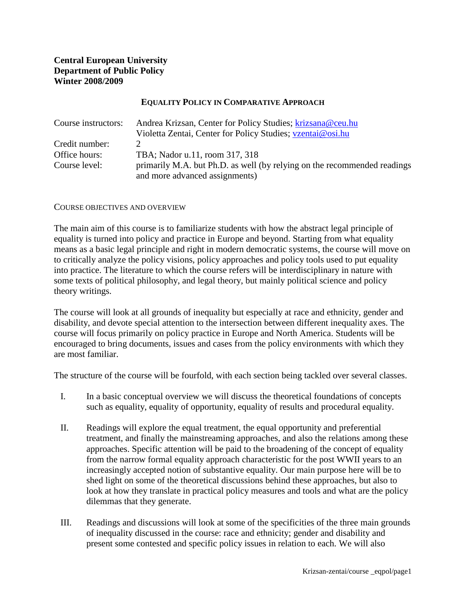#### **EQUALITY POLICY IN COMPARATIVE APPROACH**

| Course instructors: | Andrea Krizsan, Center for Policy Studies; krizsana@ceu.hu               |
|---------------------|--------------------------------------------------------------------------|
|                     | Violetta Zentai, Center for Policy Studies; vzentai@osi.hu               |
| Credit number:      |                                                                          |
| Office hours:       | TBA; Nador u.11, room 317, 318                                           |
| Course level:       | primarily M.A. but Ph.D. as well (by relying on the recommended readings |
|                     | and more advanced assignments)                                           |

#### COURSE OBJECTIVES AND OVERVIEW

The main aim of this course is to familiarize students with how the abstract legal principle of equality is turned into policy and practice in Europe and beyond. Starting from what equality means as a basic legal principle and right in modern democratic systems, the course will move on to critically analyze the policy visions, policy approaches and policy tools used to put equality into practice. The literature to which the course refers will be interdisciplinary in nature with some texts of political philosophy, and legal theory, but mainly political science and policy theory writings.

The course will look at all grounds of inequality but especially at race and ethnicity, gender and disability, and devote special attention to the intersection between different inequality axes. The course will focus primarily on policy practice in Europe and North America. Students will be encouraged to bring documents, issues and cases from the policy environments with which they are most familiar.

The structure of the course will be fourfold, with each section being tackled over several classes.

- I. In a basic conceptual overview we will discuss the theoretical foundations of concepts such as equality, equality of opportunity, equality of results and procedural equality.
- II. Readings will explore the equal treatment, the equal opportunity and preferential treatment, and finally the mainstreaming approaches, and also the relations among these approaches. Specific attention will be paid to the broadening of the concept of equality from the narrow formal equality approach characteristic for the post WWII years to an increasingly accepted notion of substantive equality. Our main purpose here will be to shed light on some of the theoretical discussions behind these approaches, but also to look at how they translate in practical policy measures and tools and what are the policy dilemmas that they generate.
- III. Readings and discussions will look at some of the specificities of the three main grounds of inequality discussed in the course: race and ethnicity; gender and disability and present some contested and specific policy issues in relation to each. We will also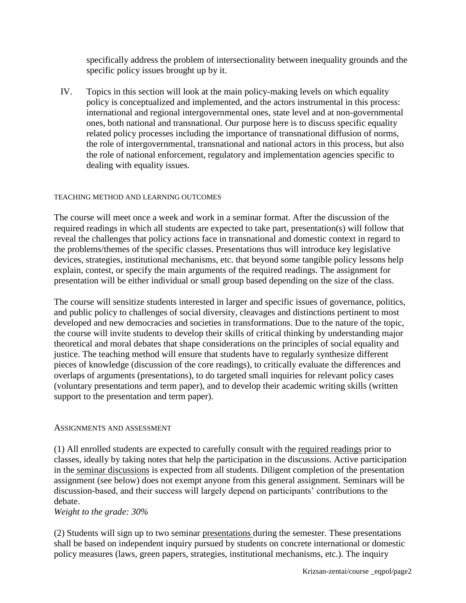specifically address the problem of intersectionality between inequality grounds and the specific policy issues brought up by it.

IV. Topics in this section will look at the main policy-making levels on which equality policy is conceptualized and implemented, and the actors instrumental in this process: international and regional intergovernmental ones, state level and at non-governmental ones, both national and transnational. Our purpose here is to discuss specific equality related policy processes including the importance of transnational diffusion of norms, the role of intergovernmental, transnational and national actors in this process, but also the role of national enforcement, regulatory and implementation agencies specific to dealing with equality issues.

# TEACHING METHOD AND LEARNING OUTCOMES

The course will meet once a week and work in a seminar format. After the discussion of the required readings in which all students are expected to take part, presentation(s) will follow that reveal the challenges that policy actions face in transnational and domestic context in regard to the problems/themes of the specific classes. Presentations thus will introduce key legislative devices, strategies, institutional mechanisms, etc. that beyond some tangible policy lessons help explain, contest, or specify the main arguments of the required readings. The assignment for presentation will be either individual or small group based depending on the size of the class.

The course will sensitize students interested in larger and specific issues of governance, politics, and public policy to challenges of social diversity, cleavages and distinctions pertinent to most developed and new democracies and societies in transformations. Due to the nature of the topic, the course will invite students to develop their skills of critical thinking by understanding major theoretical and moral debates that shape considerations on the principles of social equality and justice. The teaching method will ensure that students have to regularly synthesize different pieces of knowledge (discussion of the core readings), to critically evaluate the differences and overlaps of arguments (presentations), to do targeted small inquiries for relevant policy cases (voluntary presentations and term paper), and to develop their academic writing skills (written support to the presentation and term paper).

# ASSIGNMENTS AND ASSESSMENT

(1) All enrolled students are expected to carefully consult with the required readings prior to classes, ideally by taking notes that help the participation in the discussions. Active participation in the seminar discussions is expected from all students. Diligent completion of the presentation assignment (see below) does not exempt anyone from this general assignment. Seminars will be discussion-based, and their success will largely depend on participants' contributions to the debate.

*Weight to the grade: 30%* 

(2) Students will sign up to two seminar presentations during the semester. These presentations shall be based on independent inquiry pursued by students on concrete international or domestic policy measures (laws, green papers, strategies, institutional mechanisms, etc.). The inquiry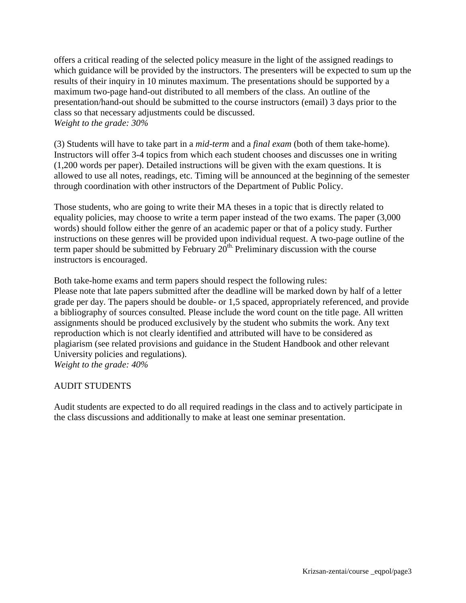offers a critical reading of the selected policy measure in the light of the assigned readings to which guidance will be provided by the instructors. The presenters will be expected to sum up the results of their inquiry in 10 minutes maximum. The presentations should be supported by a maximum two-page hand-out distributed to all members of the class. An outline of the presentation/hand-out should be submitted to the course instructors (email) 3 days prior to the class so that necessary adjustments could be discussed. *Weight to the grade: 30%* 

(3) Students will have to take part in a *mid-term* and a *final exam* (both of them take-home). Instructors will offer 3-4 topics from which each student chooses and discusses one in writing (1,200 words per paper). Detailed instructions will be given with the exam questions. It is allowed to use all notes, readings, etc. Timing will be announced at the beginning of the semester through coordination with other instructors of the Department of Public Policy.

Those students, who are going to write their MA theses in a topic that is directly related to equality policies, may choose to write a term paper instead of the two exams. The paper (3,000 words) should follow either the genre of an academic paper or that of a policy study. Further instructions on these genres will be provided upon individual request. A two-page outline of the term paper should be submitted by February  $20^{\text{th}}$ . Preliminary discussion with the course instructors is encouraged.

Both take-home exams and term papers should respect the following rules: Please note that late papers submitted after the deadline will be marked down by half of a letter grade per day. The papers should be double- or 1,5 spaced, appropriately referenced, and provide a bibliography of sources consulted. Please include the word count on the title page. All written assignments should be produced exclusively by the student who submits the work. Any text reproduction which is not clearly identified and attributed will have to be considered as plagiarism (see related provisions and guidance in the Student Handbook and other relevant University policies and regulations). *Weight to the grade: 40%* 

#### AUDIT STUDENTS

Audit students are expected to do all required readings in the class and to actively participate in the class discussions and additionally to make at least one seminar presentation.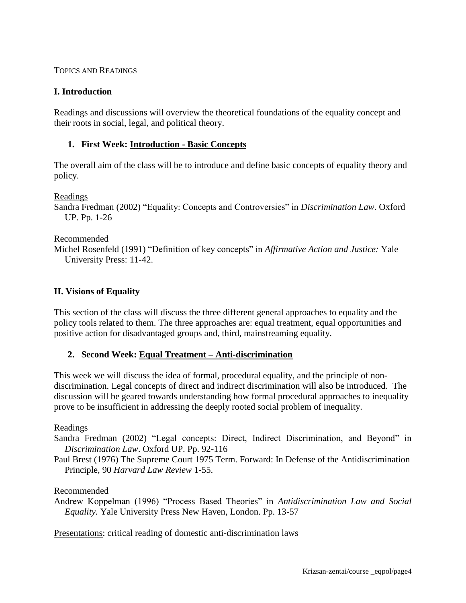TOPICS AND READINGS

# **I. Introduction**

Readings and discussions will overview the theoretical foundations of the equality concept and their roots in social, legal, and political theory.

# **1. First Week: Introduction - Basic Concepts**

The overall aim of the class will be to introduce and define basic concepts of equality theory and policy.

Readings

Sandra Fredman (2002) "Equality: Concepts and Controversies" in *Discrimination Law*. Oxford UP. Pp. 1-26

# Recommended

Michel Rosenfeld (1991) "Definition of key concepts" in *Affirmative Action and Justice:* Yale University Press: 11-42.

# **II. Visions of Equality**

This section of the class will discuss the three different general approaches to equality and the policy tools related to them. The three approaches are: equal treatment, equal opportunities and positive action for disadvantaged groups and, third, mainstreaming equality.

# **2. Second Week: Equal Treatment – Anti-discrimination**

This week we will discuss the idea of formal, procedural equality, and the principle of nondiscrimination. Legal concepts of direct and indirect discrimination will also be introduced. The discussion will be geared towards understanding how formal procedural approaches to inequality prove to be insufficient in addressing the deeply rooted social problem of inequality.

# Readings

Sandra Fredman (2002) "Legal concepts: Direct, Indirect Discrimination, and Beyond" in *Discrimination Law*. Oxford UP. Pp. 92-116

Paul Brest (1976) The Supreme Court 1975 Term. Forward: In Defense of the Antidiscrimination Principle, 90 *Harvard Law Review* 1-55.

# Recommended

Andrew Koppelman (1996) "Process Based Theories" in *Antidiscrimination Law and Social Equality.* Yale University Press New Haven, London. Pp. 13-57

Presentations: critical reading of domestic anti-discrimination laws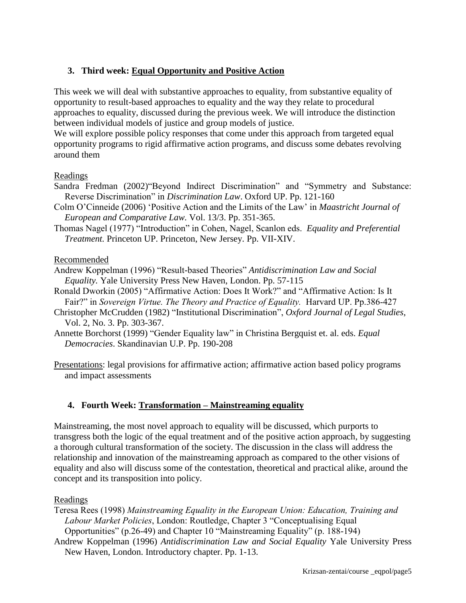# **3. Third week: Equal Opportunity and Positive Action**

This week we will deal with substantive approaches to equality, from substantive equality of opportunity to result-based approaches to equality and the way they relate to procedural approaches to equality, discussed during the previous week. We will introduce the distinction between individual models of justice and group models of justice.

We will explore possible policy responses that come under this approach from targeted equal opportunity programs to rigid affirmative action programs, and discuss some debates revolving around them

### Readings

- Sandra Fredman (2002)"Beyond Indirect Discrimination" and "Symmetry and Substance: Reverse Discrimination" in *Discrimination Law*. Oxford UP. Pp. 121-160
- Colm O"Cinneide (2006) "Positive Action and the Limits of the Law" in *Maastricht Journal of European and Comparative Law.* Vol. 13/3. Pp. 351-365.
- Thomas Nagel (1977) "Introduction" in Cohen, Nagel, Scanlon eds. *Equality and Preferential Treatment.* Princeton UP. Princeton, New Jersey. Pp. VII-XIV.

### Recommended

- Andrew Koppelman (1996) "Result-based Theories" *Antidiscrimination Law and Social Equality.* Yale University Press New Haven, London. Pp. 57-115
- Ronald Dworkin (2005) "Affirmative Action: Does It Work?" and "Affirmative Action: Is It Fair?" in *Sovereign Virtue. The Theory and Practice of Equality.* Harvard UP. Pp.386-427
- Christopher McCrudden (1982) "Institutional Discrimination", *Oxford Journal of Legal Studies*, Vol. 2, No. 3. Pp. 303-367.
- Annette Borchorst (1999) "Gender Equality law" in Christina Bergquist et. al. eds. *Equal Democracies*. Skandinavian U.P. Pp. 190-208
- Presentations: legal provisions for affirmative action; affirmative action based policy programs and impact assessments

# **4. Fourth Week: Transformation – Mainstreaming equality**

Mainstreaming, the most novel approach to equality will be discussed, which purports to transgress both the logic of the equal treatment and of the positive action approach, by suggesting a thorough cultural transformation of the society. The discussion in the class will address the relationship and innovation of the mainstreaming approach as compared to the other visions of equality and also will discuss some of the contestation, theoretical and practical alike, around the concept and its transposition into policy.

# Readings

Teresa Rees (1998) *Mainstreaming Equality in the European Union: Education, Training and Labour Market Policies*, London: Routledge, Chapter 3 "Conceptualising Equal Opportunities" (p.26-49) and Chapter 10 "Mainstreaming Equality" (p. 188-194)

Andrew Koppelman (1996) *Antidiscrimination Law and Social Equality* Yale University Press New Haven, London. Introductory chapter. Pp. 1-13.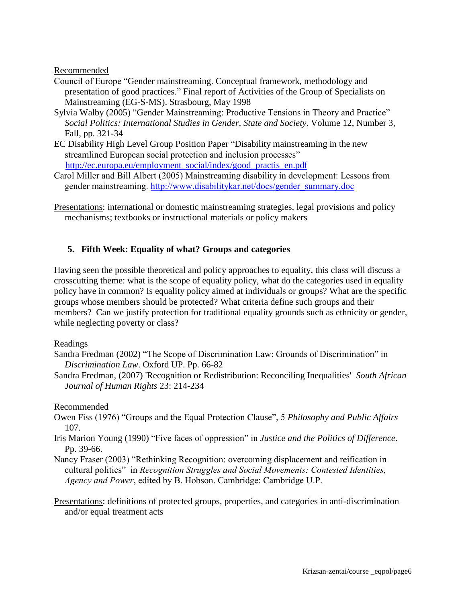#### Recommended

- Council of Europe "Gender mainstreaming. Conceptual framework, methodology and presentation of good practices." Final report of Activities of the Group of Specialists on Mainstreaming (EG-S-MS). Strasbourg, May 1998
- Sylvia Walby (2005) "Gender Mainstreaming: Productive Tensions in Theory and Practice" *Social Politics: International Studies in Gender, State and Society*. Volume 12, Number 3, Fall, pp. 321-34
- EC Disability High Level Group Position Paper "Disability mainstreaming in the new streamlined European social protection and inclusion processes" [http://ec.europa.eu/employment\\_social/index/good\\_practis\\_en.pdf](http://ec.europa.eu/employment_social/index/good_practis_en.pdf)
- Carol Miller and Bill Albert (2005) Mainstreaming disability in development: Lessons from gender mainstreaming. [http://www.disabilitykar.net/docs/gender\\_summary.doc](http://www.disabilitykar.net/docs/gender_summary.doc)

Presentations: international or domestic mainstreaming strategies, legal provisions and policy mechanisms; textbooks or instructional materials or policy makers

# **5. Fifth Week: Equality of what? Groups and categories**

Having seen the possible theoretical and policy approaches to equality, this class will discuss a crosscutting theme: what is the scope of equality policy, what do the categories used in equality policy have in common? Is equality policy aimed at individuals or groups? What are the specific groups whose members should be protected? What criteria define such groups and their members? Can we justify protection for traditional equality grounds such as ethnicity or gender, while neglecting poverty or class?

#### Readings

Sandra Fredman (2002) "The Scope of Discrimination Law: Grounds of Discrimination" in *Discrimination Law*. Oxford UP. Pp. 66-82

Sandra Fredman, (2007) 'Recognition or Redistribution: Reconciling Inequalities' *South African Journal of Human Rights* 23: 214-234

#### Recommended

- Owen Fiss (1976) "Groups and the Equal Protection Clause", 5 *Philosophy and Public Affairs* 107.
- Iris Marion Young (1990) "Five faces of oppression" in *Justice and the Politics of Difference*. Pp. 39-66.
- Nancy Fraser (2003) "Rethinking Recognition: overcoming displacement and reification in cultural politics" in *[Recognition Struggles and Social Movements: Contested Identities,](http://www.ssc.wisc.edu/~mferree/documents/FerreeGamson.pdf)  Agency and Power*[, edited by B. Hobson. Cambridge: Cambridge U.P.](http://www.ssc.wisc.edu/~mferree/documents/FerreeGamson.pdf)
- Presentations: definitions of protected groups, properties, and categories in anti-discrimination and/or equal treatment acts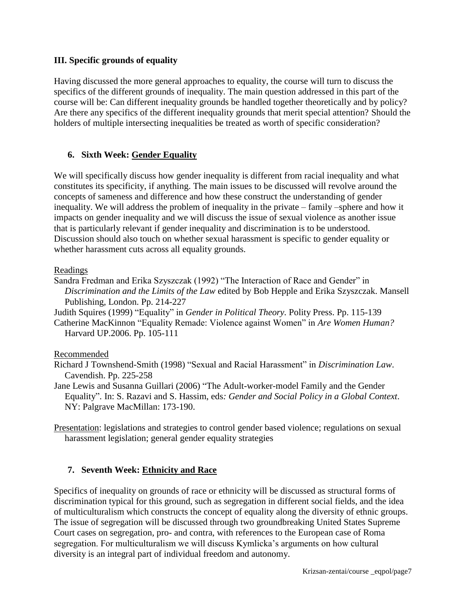# **III. Specific grounds of equality**

Having discussed the more general approaches to equality, the course will turn to discuss the specifics of the different grounds of inequality. The main question addressed in this part of the course will be: Can different inequality grounds be handled together theoretically and by policy? Are there any specifics of the different inequality grounds that merit special attention? Should the holders of multiple intersecting inequalities be treated as worth of specific consideration?

# **6. Sixth Week: Gender Equality**

We will specifically discuss how gender inequality is different from racial inequality and what constitutes its specificity, if anything. The main issues to be discussed will revolve around the concepts of sameness and difference and how these construct the understanding of gender inequality. We will address the problem of inequality in the private – family –sphere and how it impacts on gender inequality and we will discuss the issue of sexual violence as another issue that is particularly relevant if gender inequality and discrimination is to be understood. Discussion should also touch on whether sexual harassment is specific to gender equality or whether harassment cuts across all equality grounds.

#### Readings

- Sandra Fredman and Erika Szyszczak (1992) "The Interaction of Race and Gender" in *Discrimination and the Limits of the Law* edited by Bob Hepple and Erika Szyszczak. Mansell Publishing, London. Pp. 214-227
- Judith Squires (1999) "Equality" in *Gender in Political Theory.* Polity Press. Pp. 115-139
- Catherine MacKinnon "Equality Remade: Violence against Women" in *Are Women Human?* Harvard UP.2006. Pp. 105-111

#### Recommended

- Richard J Townshend-Smith (1998) "Sexual and Racial Harassment" in *Discrimination Law*. Cavendish. Pp. 225-258
- Jane Lewis and Susanna Guillari (2006) "The Adult-worker-model Family and the Gender Equality". In: S. Razavi and S. Hassim, eds*: Gender and Social Policy in a Global Context*. NY: Palgrave MacMillan: 173-190.
- Presentation: legislations and strategies to control gender based violence; regulations on sexual harassment legislation; general gender equality strategies

# **7. Seventh Week: Ethnicity and Race**

Specifics of inequality on grounds of race or ethnicity will be discussed as structural forms of discrimination typical for this ground, such as segregation in different social fields, and the idea of multiculturalism which constructs the concept of equality along the diversity of ethnic groups. The issue of segregation will be discussed through two groundbreaking United States Supreme Court cases on segregation, pro- and contra, with references to the European case of Roma segregation. For multiculturalism we will discuss Kymlicka's arguments on how cultural diversity is an integral part of individual freedom and autonomy.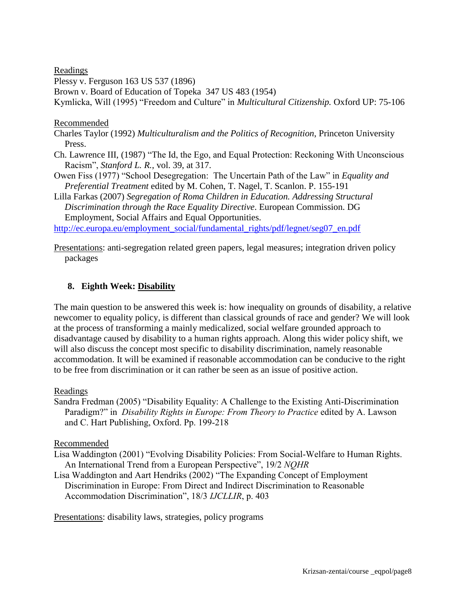Readings

Plessy v. Ferguson 163 US 537 (1896) Brown v. Board of Education of Topeka 347 US 483 (1954) Kymlicka, Will (1995) "Freedom and Culture" in *Multicultural Citizenship.* Oxford UP: 75-106

### Recommended

Charles Taylor (1992) *Multiculturalism and the Politics of Recognition*, Princeton University Press.

Ch. Lawrence III, (1987) "The Id, the Ego, and Equal Protection: Reckoning With Unconscious Racism", *Stanford L. R.*, vol. 39, at 317.

Owen Fiss (1977) "School Desegregation: The Uncertain Path of the Law" in *Equality and Preferential Treatment* edited by M. Cohen, T. Nagel, T. Scanlon. P. 155-191

Lilla Farkas (2007) *Segregation of Roma Children in Education. Addressing Structural Discrimination through the Race Equality Directive*. European Commission. DG Employment, Social Affairs and Equal Opportunities.

[http://ec.europa.eu/employment\\_social/fundamental\\_rights/pdf/legnet/seg07\\_en.pdf](http://ec.europa.eu/employment_social/fundamental_rights/pdf/legnet/seg07_en.pdf)

Presentations: anti-segregation related green papers, legal measures; integration driven policy packages

# **8. Eighth Week: Disability**

The main question to be answered this week is: how inequality on grounds of disability, a relative newcomer to equality policy, is different than classical grounds of race and gender? We will look at the process of transforming a mainly medicalized, social welfare grounded approach to disadvantage caused by disability to a human rights approach. Along this wider policy shift, we will also discuss the concept most specific to disability discrimination, namely reasonable accommodation. It will be examined if reasonable accommodation can be conducive to the right to be free from discrimination or it can rather be seen as an issue of positive action.

#### Readings

Sandra Fredman (2005) "Disability Equality: A Challenge to the Existing Anti-Discrimination Paradigm?" in *Disability Rights in Europe: From Theory to Practice* edited by A. Lawson and C. Hart Publishing, Oxford. Pp. 199-218

#### Recommended

Lisa Waddington (2001) "Evolving Disability Policies: From Social-Welfare to Human Rights. An International Trend from a European Perspective", 19/2 *NQHR*

Lisa Waddington and Aart Hendriks (2002) "The Expanding Concept of Employment Discrimination in Europe: From Direct and Indirect Discrimination to Reasonable Accommodation Discrimination", 18/3 *IJCLLIR*, p. 403

Presentations: disability laws, strategies, policy programs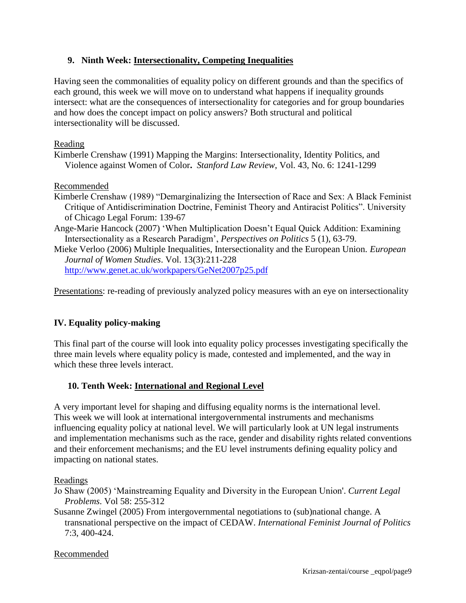# **9. Ninth Week: Intersectionality, Competing Inequalities**

Having seen the commonalities of equality policy on different grounds and than the specifics of each ground, this week we will move on to understand what happens if inequality grounds intersect: what are the consequences of intersectionality for categories and for group boundaries and how does the concept impact on policy answers? Both structural and political intersectionality will be discussed.

### Reading

Kimberle Crenshaw (1991) Mapping the Margins: Intersectionality, Identity Politics, and Violence against Women of Color**.** *Stanford Law Review*, Vol. 43, No. 6: 1241-1299

### Recommended

- Kimberle Crenshaw (1989) "Demarginalizing the Intersection of Race and Sex: A Black Feminist Critique of Antidiscrimination Doctrine, Feminist Theory and Antiracist Politics". University of Chicago Legal Forum: 139-67
- Ange-Marie Hancock (2007) "When Multiplication Doesn"t Equal Quick Addition: Examining Intersectionality as a Research Paradigm", *Perspectives on Politics* 5 (1), 63-79.
- Mieke Verloo (2006) Multiple Inequalities, Intersectionality and the European Union. *European Journal of Women Studies*. Vol. 13(3):211-228 <http://www.genet.ac.uk/workpapers/GeNet2007p25.pdf>

Presentations: re-reading of previously analyzed policy measures with an eye on intersectionality

# **IV. Equality policy-making**

This final part of the course will look into equality policy processes investigating specifically the three main levels where equality policy is made, contested and implemented, and the way in which these three levels interact.

# **10. Tenth Week: International and Regional Level**

A very important level for shaping and diffusing equality norms is the international level. This week we will look at international intergovernmental instruments and mechanisms influencing equality policy at national level. We will particularly look at UN legal instruments and implementation mechanisms such as the race, gender and disability rights related conventions and their enforcement mechanisms; and the EU level instruments defining equality policy and impacting on national states.

#### Readings

- Jo Shaw (2005) "Mainstreaming Equality and Diversity in the European Union'. *[Current Legal](http://www.oup.co.uk/law/yearbooks/yearbook-legalprob)  [Problems](http://www.oup.co.uk/law/yearbooks/yearbook-legalprob)*. Vol 58: 255-312
- Susanne Zwingel (2005) From intergovernmental negotiations to (sub)national change. A transnational perspective on the impact of CEDAW. *International Feminist Journal of Politics* 7:3, 400-424.

Recommended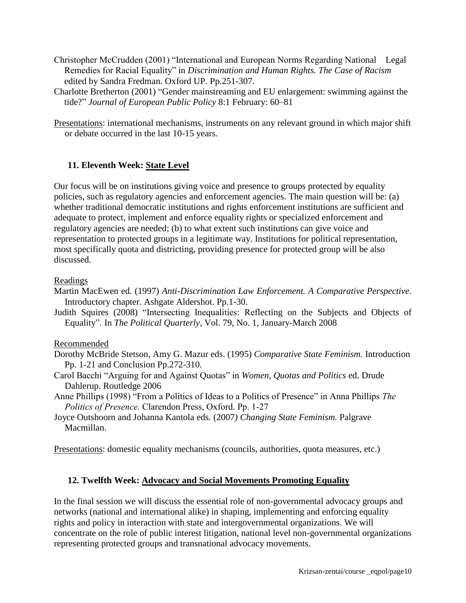- Christopher McCrudden (2001) "International and European Norms Regarding National Legal Remedies for Racial Equality" in *Discrimination and Human Rights. The Case of Racism* edited by Sandra Fredman. Oxford UP. Pp.251-307.
- Charlotte Bretherton (2001) "Gender mainstreaming and EU enlargement: swimming against the tide?" *Journal of European Public Policy* 8:1 February: 60–81
- Presentations: international mechanisms, instruments on any relevant ground in which major shift or debate occurred in the last 10-15 years.

# **11. Eleventh Week: State Level**

Our focus will be on institutions giving voice and presence to groups protected by equality policies, such as regulatory agencies and enforcement agencies. The main question will be: (a) whether traditional democratic institutions and rights enforcement institutions are sufficient and adequate to protect, implement and enforce equality rights or specialized enforcement and regulatory agencies are needed; (b) to what extent such institutions can give voice and representation to protected groups in a legitimate way. Institutions for political representation, most specifically quota and districting, providing presence for protected group will be also discussed.

#### Readings

- Martin MacEwen ed. (1997) *Anti-Discrimination Law Enforcement. A Comparative Perspective.* Introductory chapter. Ashgate Aldershot. Pp.1-30.
- Judith Squires (2008) "Intersecting Inequalities: Reflecting on the Subjects and Objects of Equality". In *The Political Quarterly*, Vol. 79, No. 1, January-March 2008

#### Recommended

- [Dorothy McBride Stetson,](http://www.amazon.com/exec/obidos/search-handle-url/103-0266417-4299864?%5Fencoding=UTF8&search-type=ss&index=books&field-author=Dorothy%20McBride%20Stetson) [Amy G. Mazur](http://www.amazon.com/exec/obidos/search-handle-url/103-0266417-4299864?%5Fencoding=UTF8&search-type=ss&index=books&field-author=Amy%20G.%20Mazur) eds. (1995) *Comparative State Feminism.* Introduction Pp. 1-21 and Conclusion Pp.272-310.
- Carol Bacchi "Arguing for and Against Quotas" in *Women, Quotas and Politics* ed. Drude Dahlerup. Routledge 2006
- Anne Phillips (1998) "From a Politics of Ideas to a Politics of Presence" in Anna Phillips *The Politics of Presence.* Clarendon Press, Oxford. Pp. 1-27
- Joyce Outshoorn and Johanna Kantola eds. (2007*) Changing State Feminism.* Palgrave Macmillan.

Presentations: domestic equality mechanisms (councils, authorities, quota measures, etc.)

# **12. Twelfth Week: Advocacy and Social Movements Promoting Equality**

In the final session we will discuss the essential role of non-governmental advocacy groups and networks (national and international alike) in shaping, implementing and enforcing equality rights and policy in interaction with state and intergovernmental organizations. We will concentrate on the role of public interest litigation, national level non-governmental organizations representing protected groups and transnational advocacy movements.